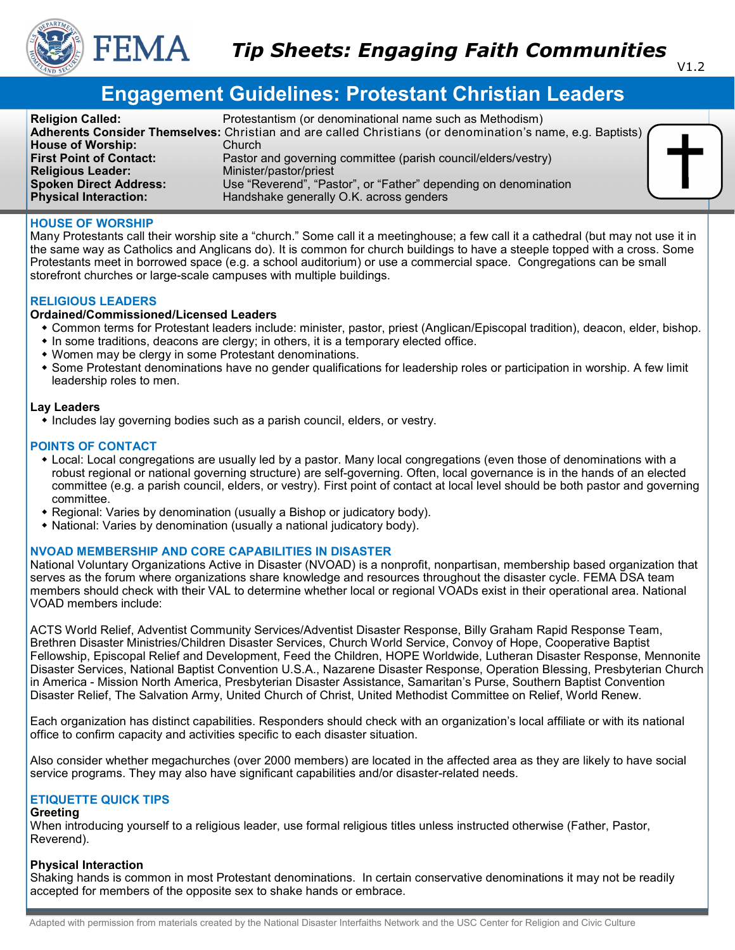

# **Engagement Guidelines: Protestant Christian Leaders**

| <b>Religion Called:</b>        | Protestantism (or denominational name such as Methodism)                                                   |
|--------------------------------|------------------------------------------------------------------------------------------------------------|
|                                | Adherents Consider Themselves: Christian and are called Christians (or denomination's name, e.g. Baptists) |
| <b>House of Worship:</b>       | Church                                                                                                     |
| <b>First Point of Contact:</b> | Pastor and governing committee (parish council/elders/vestry)                                              |
| <b>Religious Leader:</b>       | Minister/pastor/priest                                                                                     |
| <b>Spoken Direct Address:</b>  | Use "Reverend", "Pastor", or "Father" depending on denomination                                            |
| <b>Physical Interaction:</b>   | Handshake generally O.K. across genders                                                                    |

## **HOUSE OF WORSHIP**

Many Protestants call their worship site a "church." Some call it a meetinghouse; a few call it a cathedral (but may not use it in the same way as Catholics and Anglicans do). It is common for church buildings to have a steeple topped with a cross. Some Protestants meet in borrowed space (e.g. a school auditorium) or use a commercial space. Congregations can be small storefront churches or large-scale campuses with multiple buildings.

#### **RELIGIOUS LEADERS**

#### **Ordained/Commissioned/Licensed Leaders**

- Common terms for Protestant leaders include: minister, pastor, priest (Anglican/Episcopal tradition), deacon, elder, bishop.
- $\bullet$  In some traditions, deacons are clergy; in others, it is a temporary elected office.
- Women may be clergy in some Protestant denominations.
- Some Protestant denominations have no gender qualifications for leadership roles or participation in worship. A few limit leadership roles to men.

#### **Lay Leaders**

• Includes lay governing bodies such as a parish council, elders, or vestry.

## **POINTS OF CONTACT**

- Local: Local congregations are usually led by a pastor. Many local congregations (even those of denominations with a robust regional or national governing structure) are self-governing. Often, local governance is in the hands of an elected committee (e.g. a parish council, elders, or vestry). First point of contact at local level should be both pastor and governing committee.
- Regional: Varies by denomination (usually a Bishop or judicatory body).
- National: Varies by denomination (usually a national judicatory body).

## **NVOAD MEMBERSHIP AND CORE CAPABILITIES IN DISASTER**

National Voluntary Organizations Active in Disaster (NVOAD) is a nonprofit, nonpartisan, membership based organization that serves as the forum where organizations share knowledge and resources throughout the disaster cycle. FEMA DSA team members should check with their VAL to determine whether local or regional VOADs exist in their operational area. National VOAD members include:

ACTS World Relief, Adventist Community Services/Adventist Disaster Response, Billy Graham Rapid Response Team, Brethren Disaster Ministries/Children Disaster Services, Church World Service, Convoy of Hope, Cooperative Baptist Fellowship, Episcopal Relief and Development, Feed the Children, HOPE Worldwide, Lutheran Disaster Response, Mennonite Disaster Services, National Baptist Convention U.S.A., Nazarene Disaster Response, Operation Blessing, Presbyterian Church in America - Mission North America, Presbyterian Disaster Assistance, Samaritan's Purse, Southern Baptist Convention Disaster Relief, The Salvation Army, United Church of Christ, United Methodist Committee on Relief, World Renew.

Each organization has distinct capabilities. Responders should check with an organization's local affiliate or with its national office to confirm capacity and activities specific to each disaster situation.

Also consider whether megachurches (over 2000 members) are located in the affected area as they are likely to have social service programs. They may also have significant capabilities and/or disaster-related needs.

## **ETIQUETTE QUICK TIPS**

#### **Greeting**

When introducing yourself to a religious leader, use formal religious titles unless instructed otherwise (Father, Pastor, Reverend).

#### **Physical Interaction**

Shaking hands is common in most Protestant denominations. In certain conservative denominations it may not be readily accepted for members of the opposite sex to shake hands or embrace.